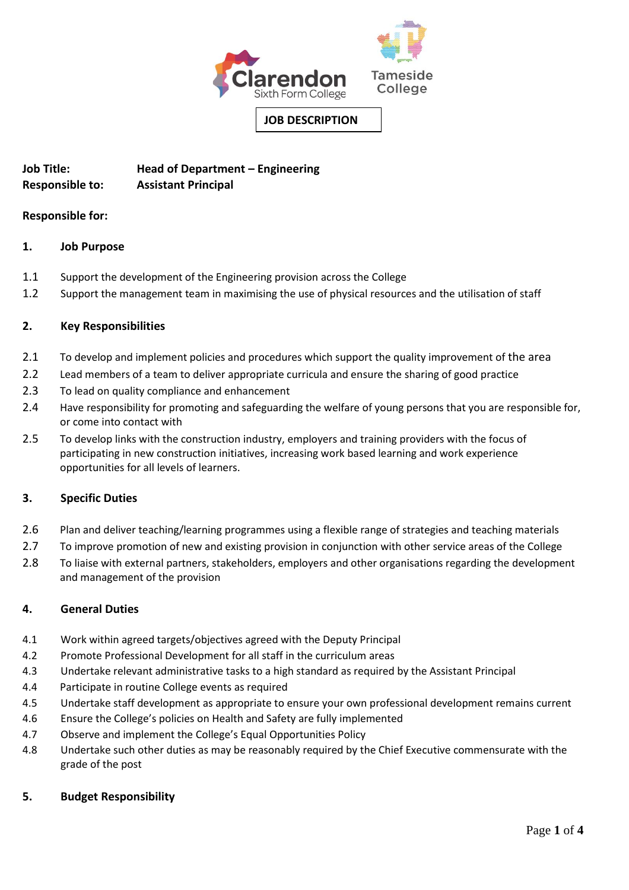

# **Job Title: Head of Department – Engineering Responsible to: Assistant Principal**

# **Responsible for:**

# **1. Job Purpose**

- 1.1 Support the development of the Engineering provision across the College
- 1.2 Support the management team in maximising the use of physical resources and the utilisation of staff

# **2. Key Responsibilities**

- 2.1 To develop and implement policies and procedures which support the quality improvement of the area
- 2.2 Lead members of a team to deliver appropriate curricula and ensure the sharing of good practice
- 2.3 To lead on quality compliance and enhancement
- 2.4 Have responsibility for promoting and safeguarding the welfare of young persons that you are responsible for, or come into contact with
- 2.5 To develop links with the construction industry, employers and training providers with the focus of participating in new construction initiatives, increasing work based learning and work experience opportunities for all levels of learners.

# **3. Specific Duties**

- 2.6 Plan and deliver teaching/learning programmes using a flexible range of strategies and teaching materials
- 2.7 To improve promotion of new and existing provision in conjunction with other service areas of the College
- 2.8 To liaise with external partners, stakeholders, employers and other organisations regarding the development and management of the provision

# **4. General Duties**

- 4.1 Work within agreed targets/objectives agreed with the Deputy Principal
- 4.2 Promote Professional Development for all staff in the curriculum areas
- 4.3 Undertake relevant administrative tasks to a high standard as required by the Assistant Principal
- 4.4 Participate in routine College events as required
- 4.5 Undertake staff development as appropriate to ensure your own professional development remains current
- 4.6 Ensure the College's policies on Health and Safety are fully implemented
- 4.7 Observe and implement the College's Equal Opportunities Policy
- 4.8 Undertake such other duties as may be reasonably required by the Chief Executive commensurate with the grade of the post

# **5. Budget Responsibility**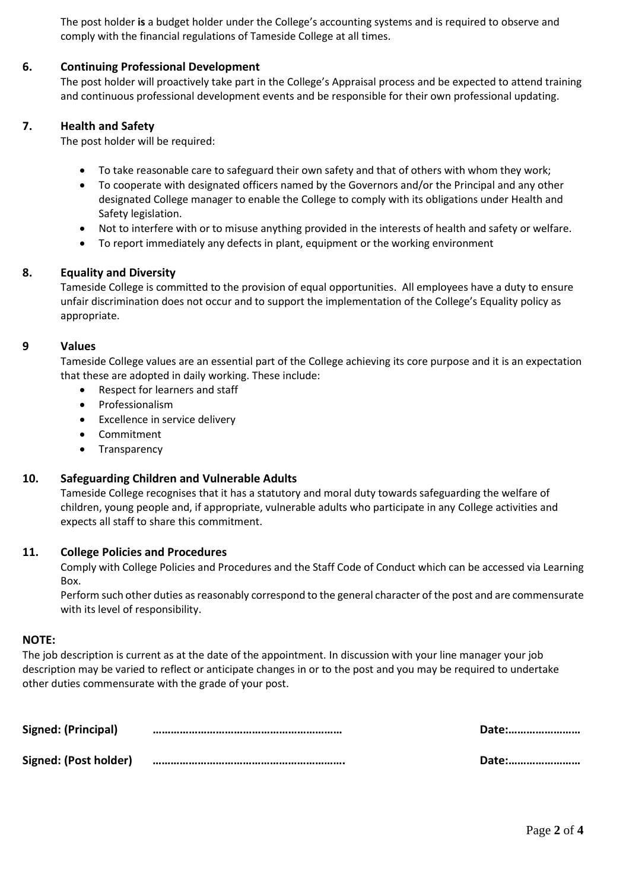The post holder **is** a budget holder under the College's accounting systems and is required to observe and comply with the financial regulations of Tameside College at all times.

### **6. Continuing Professional Development**

 The post holder will proactively take part in the College's Appraisal process and be expected to attend training and continuous professional development events and be responsible for their own professional updating.

### **7. Health and Safety**

The post holder will be required:

- To take reasonable care to safeguard their own safety and that of others with whom they work;
- To cooperate with designated officers named by the Governors and/or the Principal and any other designated College manager to enable the College to comply with its obligations under Health and Safety legislation.
- Not to interfere with or to misuse anything provided in the interests of health and safety or welfare.
- To report immediately any defects in plant, equipment or the working environment

### **8. Equality and Diversity**

Tameside College is committed to the provision of equal opportunities. All employees have a duty to ensure unfair discrimination does not occur and to support the implementation of the College's Equality policy as appropriate.

#### **9 Values**

Tameside College values are an essential part of the College achieving its core purpose and it is an expectation that these are adopted in daily working. These include:

- Respect for learners and staff
- Professionalism
- Excellence in service delivery
- Commitment
- Transparency

# **10. Safeguarding Children and Vulnerable Adults**

Tameside College recognises that it has a statutory and moral duty towards safeguarding the welfare of children, young people and, if appropriate, vulnerable adults who participate in any College activities and expects all staff to share this commitment.

#### **11. College Policies and Procedures**

Comply with College Policies and Procedures and the Staff Code of Conduct which can be accessed via Learning Box.

Perform such other duties as reasonably correspond to the general character of the post and are commensurate with its level of responsibility.

#### **NOTE:**

The job description is current as at the date of the appointment. In discussion with your line manager your job description may be varied to reflect or anticipate changes in or to the post and you may be required to undertake other duties commensurate with the grade of your post.

| Signed: (Principal)   | <b>Date:</b> |
|-----------------------|--------------|
| Signed: (Post holder) | Date:        |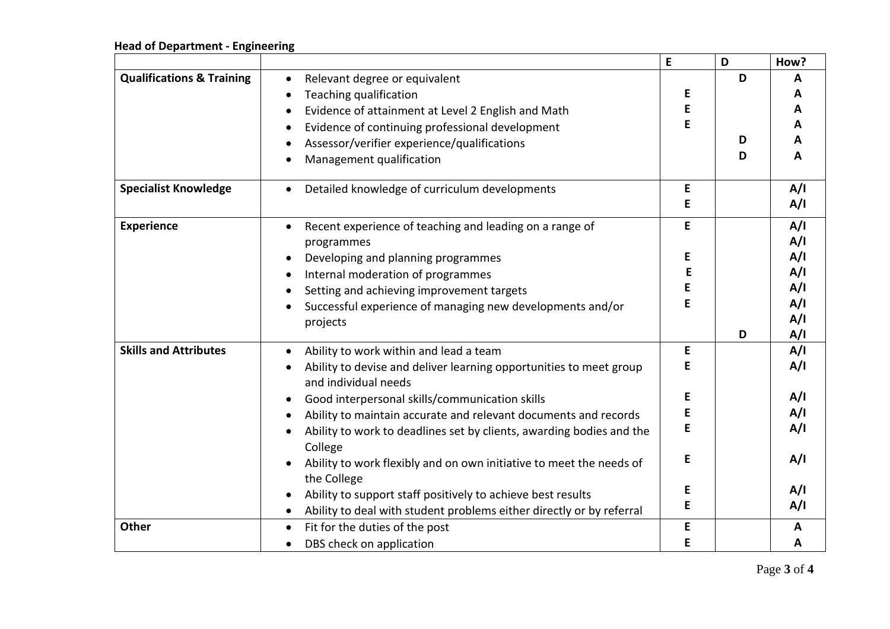# **Head of Department - Engineering**

|                                      |                                                                                            | E | D | How? |
|--------------------------------------|--------------------------------------------------------------------------------------------|---|---|------|
| <b>Qualifications &amp; Training</b> | Relevant degree or equivalent<br>$\bullet$                                                 |   | D | A    |
|                                      | Teaching qualification                                                                     | E |   | A    |
|                                      | Evidence of attainment at Level 2 English and Math                                         | E |   | A    |
|                                      | Evidence of continuing professional development                                            | Е |   | A    |
|                                      | Assessor/verifier experience/qualifications                                                |   | D | A    |
|                                      | Management qualification                                                                   |   | D | A    |
| <b>Specialist Knowledge</b>          | Detailed knowledge of curriculum developments<br>$\bullet$                                 | E |   | A/I  |
|                                      |                                                                                            | Е |   | A/I  |
| <b>Experience</b>                    | Recent experience of teaching and leading on a range of                                    | E |   | A/I  |
|                                      | programmes                                                                                 |   |   | A/I  |
|                                      | Developing and planning programmes                                                         | E |   | A/I  |
|                                      | Internal moderation of programmes                                                          | E |   | A/I  |
|                                      | Setting and achieving improvement targets                                                  | E |   | A/I  |
|                                      | Successful experience of managing new developments and/or                                  | E |   | A/I  |
|                                      | projects                                                                                   |   |   | A/I  |
|                                      |                                                                                            |   | D | A/I  |
| <b>Skills and Attributes</b>         | Ability to work within and lead a team<br>$\bullet$                                        | E |   | A/I  |
|                                      | Ability to devise and deliver learning opportunities to meet group<br>and individual needs | Е |   | A/I  |
|                                      | Good interpersonal skills/communication skills                                             | Е |   | A/I  |
|                                      | Ability to maintain accurate and relevant documents and records                            | E |   | A/I  |
|                                      | Ability to work to deadlines set by clients, awarding bodies and the<br>College            | E |   | A/I  |
|                                      | Ability to work flexibly and on own initiative to meet the needs of<br>the College         | Е |   | A/I  |
|                                      | Ability to support staff positively to achieve best results                                | Е |   | A/I  |
|                                      | Ability to deal with student problems either directly or by referral                       | E |   | A/I  |
| <b>Other</b>                         | Fit for the duties of the post                                                             | E |   | A    |
|                                      | DBS check on application<br>$\bullet$                                                      | E |   | A    |